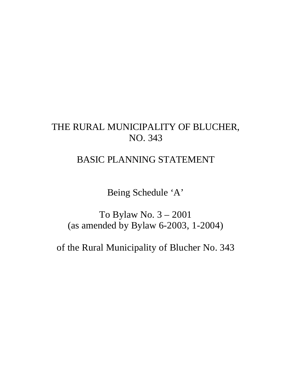# THE RURAL MUNICIPALITY OF BLUCHER, NO. 343

# BASIC PLANNING STATEMENT

Being Schedule 'A'

To Bylaw No. 3 – 2001 (as amended by Bylaw 6-2003, 1-2004)

of the Rural Municipality of Blucher No. 343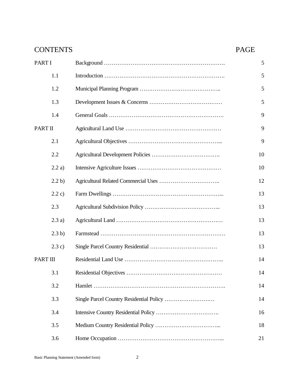| <b>CONTENTS</b> | <b>PAGE</b> |
|-----------------|-------------|
| PART I          | 5           |
| 1.1             | 5           |
| 1.2             | 5           |
| 1.3             | 5           |
| 1.4             | 9           |
| PART II         | 9           |
| 2.1             | 9           |
| 2.2             | 10          |
| 2.2a)           | 10          |
| 2.2 b)          | 12          |
| 2.2 c)          | 13          |
| 2.3             | 13          |
| 2.3a)           | 13          |
| 2.3 b)          | 13          |
| 2.3c)           | 13          |
| PART III        | 14          |
| 3.1             | 14          |
| 3.2             | 14          |
| 3.3             | 14          |
| 3.4             | 16          |
| 3.5             | 18          |
| 3.6             | 21          |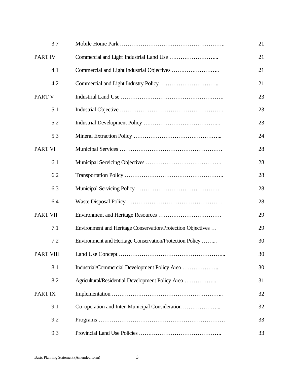| 3.7             |                                                             | 21 |
|-----------------|-------------------------------------------------------------|----|
| PART IV         |                                                             | 21 |
| 4.1             |                                                             | 21 |
| 4.2             |                                                             | 21 |
| <b>PART V</b>   |                                                             | 23 |
| 5.1             |                                                             | 23 |
| 5.2             |                                                             | 23 |
| 5.3             |                                                             | 24 |
| <b>PART VI</b>  |                                                             | 28 |
| 6.1             |                                                             | 28 |
| 6.2             |                                                             | 28 |
| 6.3             |                                                             | 28 |
| 6.4             |                                                             | 28 |
| <b>PART VII</b> |                                                             | 29 |
| 7.1             | Environment and Heritage Conservation/Protection Objectives | 29 |
| 7.2             | Environment and Heritage Conservation/Protection Policy     | 30 |
| PART VIII       |                                                             | 30 |
| 8.1             |                                                             | 30 |
| 8.2             |                                                             | 31 |
| PART IX         |                                                             | 32 |
| 9.1             | Co-operation and Inter-Municipal Consideration              | 32 |
| 9.2             |                                                             | 33 |
| 9.3             |                                                             | 33 |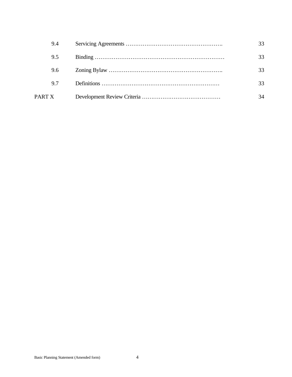|        | 9.4 |    |
|--------|-----|----|
|        | 9.5 |    |
|        | 9.6 |    |
|        | 9.7 | 33 |
| PART X |     | 34 |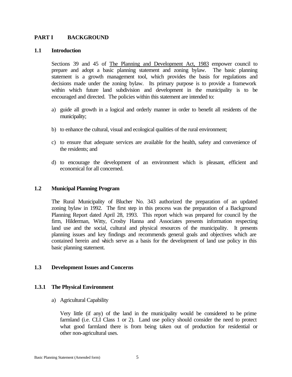# **PART I** BACKGROUND

#### **1.1 Introduction**

Sections 39 and 45 of The Planning and Development Act, 1983 empower council to prepare and adopt a basic planning statement and zoning bylaw. The basic planning statement is a growth management tool, which provides the basis for regulations and decisions made under the zoning bylaw. Its primary purpose is to provide a framework within which future land subdivision and development in the municipality is to be encouraged and directed. The policies within this statement are intended to:

- a) guide all growth in a logical and orderly manner in order to benefit all residents of the municipality;
- b) to enhance the cultural, visual and ecological qualities of the rural environment;
- c) to ensure that adequate services are available for the health, safety and convenience of the residents; and
- d) to encourage the development of an environment which is pleasant, efficient and economical for all concerned.

#### **1.2 Municipal Planning Program**

The Rural Municipality of Blucher No. 343 authorized the preparation of an updated zoning bylaw in 1992. The first step in this process was the preparation of a Background Planning Report dated April 28, 1993. This report which was prepared for council by the firm, Hilderman, Witty, Crosby Hanna and Associates presents information respecting land use and the social, cultural and physical resources of the municipality. It presents planning issues and key findings and recommends general goals and objectives which are contained herein and which serve as a basis for the development of land use policy in this basic planning statement.

#### **1.3 Development Issues and Concerns**

#### **1.3.1 The Physical Environment**

a) Agricultural Capability

Very little (if any) of the land in the municipality would be considered to be prime farmland (i.e. CLI Class 1 or 2). Land use policy should consider the need to protect what good farmland there is from being taken out of production for residential or other non-agricultural uses.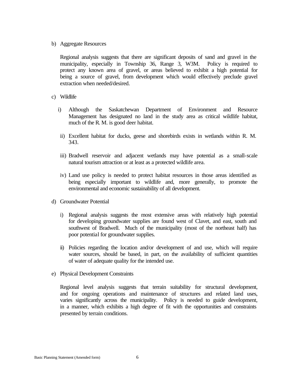#### b) Aggregate Resources

Regional analysis suggests that there are significant deposits of sand and gravel in the municipality, especially in Township 36, Range 3, W3M. Policy is required to protect any known area of gravel, or areas believed to exhibit a high potential for being a source of gravel, from development which would effectively preclude gravel extraction when needed/desired.

- c) Wildlife
	- i) Although the Saskatchewan Department of Environment and Resource Management has designated no land in the study area as critical wildlife habitat, much of the R. M. is good deer habitat.
	- ii) Excellent habitat for ducks, geese and shorebirds exists in wetlands within R. M. 343.
	- iii) Bradwell reservoir and adjacent wetlands may have potential as a small-scale natural tourism attraction or at least as a protected wildlife area.
	- iv) Land use policy is needed to protect habitat resources in those areas identified as being especially important to wildlife and, more generally, to promote the environmental and economic sustainability of all development.
- d) Groundwater Potential
	- i) Regional analysis suggests the most extensive areas with relatively high potential for developing groundwater supplies are found west of Clavet, and east, south and southwest of Bradwell. Much of the municipality (most of the northeast half) has poor potential for groundwater supplies.
	- ii) Policies regarding the location and/or development of and use, which will require water sources, should be based, in part, on the availability of sufficient quantities of water of adequate quality for the intended use.
- e) Physical Development Constraints

Regional level analysis suggests that terrain suitability for structural development, and for ongoing operations and maintenance of structures and related land uses, varies significantly across the municipality. Policy is needed to guide development, in a manner, which exhibits a high degree of fit with the opportunities and constraints presented by terrain conditions.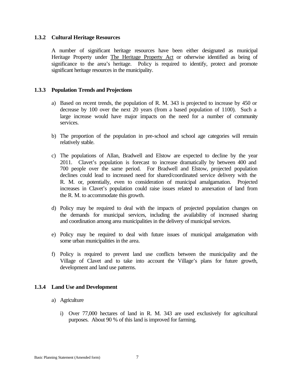## **1.3.2 Cultural Heritage Resources**

A number of significant heritage resources have been either designated as municipal Heritage Property under The Heritage Property Act or otherwise identified as being of significance to the area's heritage. Policy is required to identify, protect and promote significant heritage resources in the municipality.

### **1.3.3 Population Trends and Projections**

- a) Based on recent trends, the population of R. M. 343 is projected to increase by 450 or decrease by 100 over the next 20 years (from a based population of 1100). Such a large increase would have major impacts on the need for a number of community services.
- b) The proportion of the population in pre-school and school age categories will remain relatively stable.
- c) The populations of Allan, Bradwell and Elstow are expected to decline by the year 2011. Clavet's population is forecast to increase dramatically by between 400 and 700 people over the same period. For Bradwell and Elstow, projected population declines could lead to increased need for shared/coordinated service delivery with the R. M. or, potentially, even to consideration of municipal amalgamation. Projected increases in Clavet's population could raise issues related to annexation of land from the R. M. to accommodate this growth.
- d) Policy may be required to deal with the impacts of projected population changes on the demands for municipal services, including the availability of increased sharing and coordination among area municipalities in the delivery of municipal services.
- e) Policy may be required to deal with future issues of municipal amalgamation with some urban municipalities in the area.
- f) Policy is required to prevent land use conflicts between the municipality and the Village of Clavet and to take into account the Village's plans for future growth, development and land use patterns.

# **1.3.4 Land Use and Development**

- a) Agriculture
	- i) Over 77,000 hectares of land in R. M. 343 are used exclusively for agricultural purposes. About 90 % of this land is improved for farming.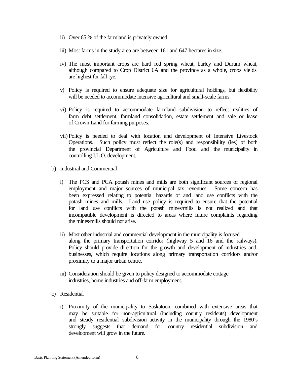- ii) Over 65 % of the farmland is privately owned.
- iii) Most farms in the study area are between 161 and 647 hectares in size.
- iv) The most important crops are hard red spring wheat, barley and Durum wheat, although compared to Crop District 6A and the province as a whole, crops yields are highest for fall rye.
- v) Policy is required to ensure adequate size for agricultural holdings, but flexibility will be needed to accommodate intensive agricultural and small-scale farms.
- vi) Policy is required to accommodate farmland subdivision to reflect realities of farm debt settlement, farmland consolidation, estate settlement and sale or lease of Crown Land for farming purposes.
- vii) Policy is needed to deal with location and development of Intensive Livestock Operations. Such policy must reflect the role(s) and responsibility (ies) of both the provincial Department of Agriculture and Food and the municipality in controlling I.L.O. development.
- b) Industrial and Commercial
	- i) The PCS and PCA potash mines and mills are both significant sources of regional employment and major sources of municipal tax revenues. Some concern has been expressed relating to potential hazards of and land use conflicts with the potash mines and mills. Land use policy is required to ensure that the potential for land use conflicts with the potash mines/mills is not realized and that incompatible development is directed to areas where future complaints regarding the mines/mills should not arise.
	- ii) Most other industrial and commercial development in the municipality is focused along the primary transportation corridor (highway 5 and 16 and the railways). Policy should provide direction for the growth and development of industries and businesses, which require locations along primary transportation corridors and/or proximity to a major urban centre.
	- iii) Consideration should be given to policy designed to accommodate cottage industries, home industries and off-farm employment.
- c) Residential
	- i) Proximity of the municipality to Saskatoon, combined with extensive areas that may be suitable for non-agricultural (including country residents) development and steady residential subdivision activity in the municipality through the 1980's strongly suggests that demand for country residential subdivision and development will grow in the future.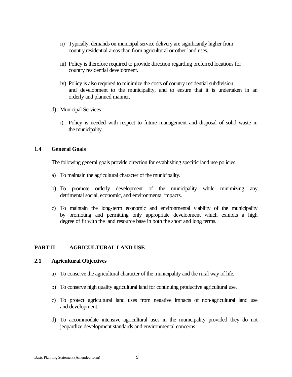- ii) Typically, demands on municipal service delivery are significantly higher from country residential areas than from agricultural or other land uses.
- iii) Policy is therefore required to provide direction regarding preferred locations for country residential development.
- iv) Policy is also required to minimize the costs of country residential subdivision and development to the municipality, and to ensure that it is undertaken in an orderly and planned manner.
- d) Municipal Services
	- i) Policy is needed with respect to future management and disposal of solid waste in the municipality.

# **1.4 General Goals**

The following general goals provide direction for establishing specific land use policies.

- a) To maintain the agricultural character of the municipality.
- b) To promote orderly development of the municipality while minimizing any detrimental social, economic, and environmental impacts.
- c) To maintain the long-term economic and environmental viability of the municipality by promoting and permitting only appropriate development which exhibits a high degree of fit with the land resource base in both the short and long terms.

# **PART II AGRICULTURAL LAND USE**

#### **2.1 Agricultural Objectives**

- a) To conserve the agricultural character of the municipality and the rural way of life.
- b) To conserve high quality agricultural land for continuing productive agricultural use.
- c) To protect agricultural land uses from negative impacts of non-agricultural land use and development.
- d) To accommodate intensive agricultural uses in the municipality provided they do not jeopardize development standards and environmental concerns.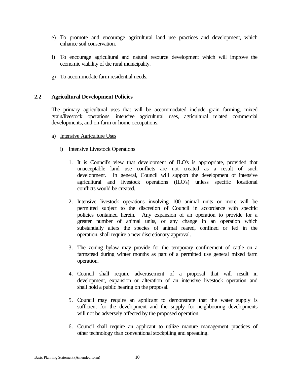- e) To promote and encourage agricultural land use practices and development, which enhance soil conservation.
- f) To encourage agricultural and natural resource development which will improve the economic viability of the rural municipality.
- g) To accommodate farm residential needs.

# **2.2 Agricultural Development Policies**

The primary agricultural uses that will be accommodated include grain farming, mixed grain/livestock operations, intensive agricultural uses, agricultural related commercial developments, and on-farm or home occupations.

- a) Intensive Agriculture Uses
	- i) Intensive Livestock Operations
		- 1. It is Council's view that development of ILO's is appropriate, provided that unacceptable land use conflicts are not created as a result of such development. In general, Council will support the development of intensive agricultural and livestock operations (ILO's) unless specific locational conflicts would be created.
		- 2. Intensive livestock operations involving 100 animal units or more will be permitted subject to the discretion of Council in accordance with specific policies contained herein. Any expansion of an operation to provide for a greater number of animal units, or any change in an operation which substantially alters the species of animal reared, confined or fed in the operation, shall require a new discretionary approval.
		- 3. The zoning bylaw may provide for the temporary confinement of cattle on a farmstead during winter months as part of a permitted use general mixed farm operation.
		- 4. Council shall require advertisement of a proposal that will result in development, expansion or alteration of an intensive livestock operation and shall hold a public hearing on the proposal.
		- 5. Council may require an applicant to demonstrate that the water supply is sufficient for the development and the supply for neighbouring developments will not be adversely affected by the proposed operation.
		- 6. Council shall require an applicant to utilize manure management practices of other technology than conventional stockpiling and spreading.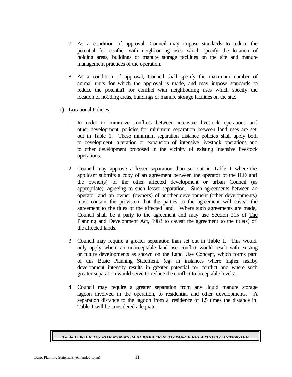- 7. As a condition of approval, Council may impose standards to reduce the potential for conflict with neighbouring uses which specify the location of holding areas, buildings or manure storage facilities on the site and manure management practices of the operation.
- 8. As a condition of approval, Council shall specify the maximum number of animal units for which the approval is made, and may impose standards to reduce the potentia1 for conflict with neighbouring uses which specify the location of ho1ding areas, buildings or manure storage facilities on the site.
- ii) Locational Policies
	- 1. In order to minimize conflicts between intensive livestock operations and other development, policies for minimum separation between land uses are set out in Table 1. These minimum separation distance policies shall apply both to development, alteration or expansion of intensive livestock operations and to other development proposed in the vicinity of existing intensive livestock operations.
	- 2. Council may approve a lesser separation than set out in Table 1 where the applicant submits a copy of an agreement between the operator of the ILO and the owner(s) of the other affected development or urban Council (as appropriate), agreeing to such lesser separation. Such agreements between an operator and an owner (owners) of another development (other developments) must contain the provision that the parties to the agreement will caveat the agreement to the titles of the affected land. Where such agreements are made, Council shall be a party to the agreement and may use Section 215 of The Planning and Development Act, 1983 to caveat the agreement to the title(s) of the affected lands.
	- 3. Council may require a greater separation than set out in Table 1. This would only apply where an unacceptable land use conflict would result with existing or future developments as shown on the Land Use Concept, which forms part of this Basic Planning Statement. (eg: in instances where higher nearby development intensity results in greater potential for conflict and where such greater separation would serve to reduce the conflict to acceptable levels).
	- 4. Council may require a greater separation from any liquid manure storage lagoon involved in the operation, to residential and other developments. A separation distance to the lagoon from a residence of 1.5 times the distance in Table 1 will be considered adequate.

*Table 1: POLICIES FOR MINIMUM SEPARATION DISTANCE RELATING TO INTENSIVE*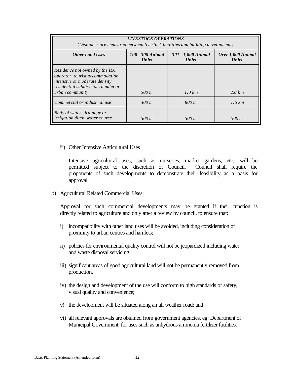| <b>LIVESTOCK OPERATIONS</b><br>(Distances are measured between livestock facilities and building development)                                                       |                                  |                                    |                                   |  |  |  |
|---------------------------------------------------------------------------------------------------------------------------------------------------------------------|----------------------------------|------------------------------------|-----------------------------------|--|--|--|
| <b>Other Land Uses</b>                                                                                                                                              | 100 - 300 Animal<br><b>Units</b> | 301 - 1,000 Animal<br><b>Units</b> | Over 1,000 Animal<br><b>Units</b> |  |  |  |
| Residence not owned by the ILO<br>operator, tourist accommodation,<br>intensive or moderate density<br>residential subdivision, hamlet or<br><i>urban community</i> | 500 m                            | $1.0 \, \text{km}$                 | $2.0 \text{ km}$                  |  |  |  |
| Commercial or industrial use                                                                                                                                        | 300 m                            | 800 m                              | 1.6 km                            |  |  |  |
| Body of water, drainage or<br>irrigation ditch, water course                                                                                                        | 500 m                            | 500 m                              | 500 m                             |  |  |  |

#### iii) Other Intensive Agricultural Uses

Intensive agricultural uses, such as nurseries, market gardens, etc., will be permitted subject to the discretion of Council. Council shall require the proponents of such developments to demonstrate their feasibility as a basis for approval.

#### b) Agricultural Related Commercial Uses

Approval for such commercial developments may be granted if their function is directly related to agriculture and only after a review by council, to ensure that:

- i) incompatibility with other land uses will be avoided, including consideration of proximity to urban centres and hamlets;
- ii) policies for environmental quality control will not be jeopardized including water and waste disposal servicing;
- iii) significant areas of good agricultural land will not be permanently removed from production.
- iv) the design and development of the use will conform to high standards of safety, visual quality and convenience;
- v) the development will be situated along an all weather road; and
- vi) all relevant approvals are obtained from government agencies, eg: Department of Municipal Government, for uses such as anhydrous ammonia fertilizer facilities.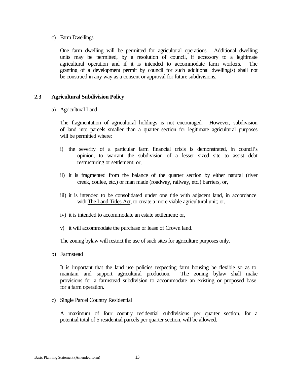#### c) Farm Dwellings

One farm dwelling will be permitted for agricultural operations. Additional dwelling units may be permitted, by a resolution of council, if accessory to a legitimate agricultural operation and if it is intended to accommodate farm workers. The granting of a development permit by council for such additional dwelling(s) shall not be construed in any way as a consent or approval for future subdivisions.

# **2.3 Agricultural Subdivision Policy**

a) Agricultural Land

The fragmentation of agricultural holdings is not encouraged. However, subdivision of land into parcels smaller than a quarter section for legitimate agricultural purposes will be permitted where:

- i) the severity of a particular farm financial crisis is demonstrated, in council's opinion, to warrant the subdivision of a lesser sized site to assist debt restructuring or settlement; or,
- ii) it is fragmented from the balance of the quarter section by either natural (river creek, coulee, etc.) or man made (roadway, railway, etc.) barriers, or,
- iii) it is intended to be consolidated under one title with adjacent land, in accordance with The Land Titles Act, to create a more viable agricultural unit; or,
- iv) it is intended to accommodate an estate settlement; or,
- v) it will accommodate the purchase or lease of Crown land.

The zoning bylaw will restrict the use of such sites for agriculture purposes only.

b) Farmstead

It is important that the land use policies respecting farm housing be flexible so as to maintain and support agricultural production. The zoning bylaw shall make provisions for a farmstead subdivision to accommodate an existing or proposed base for a farm operation.

c) Single Parcel Country Residential

A maximum of four country residential subdivisions per quarter section, for a potential total of 5 residential parcels per quarter section, will be allowed.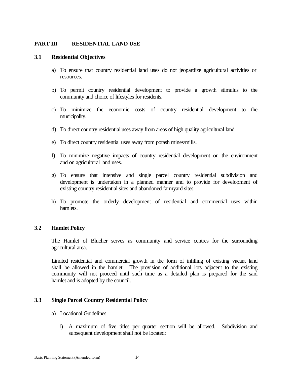# **PART III RESIDENTIAL LAND USE**

#### **3.1 Residential Objectives**

- a) To ensure that country residential land uses do not jeopardize agricultural activities or resources.
- b) To permit country residential development to provide a growth stimulus to the community and choice of lifestyles for residents.
- c) To minimize the economic costs of country residential development to the municipality.
- d) To direct country residential uses away from areas of high quality agricultural land.
- e) To direct country residential uses away from potash mines/mills.
- f) To minimize negative impacts of country residential development on the environment and on agricultural land uses.
- g) To ensure that intensive and single parcel country residential subdivision and development is undertaken in a planned manner and to provide for development of existing country residential sites and abandoned farmyard sites.
- h) To promote the orderly development of residential and commercial uses within hamlets.

#### **3.2 Hamlet Policy**

The Hamlet of Blucher serves as community and service centres for the surrounding agricultural area.

Limited residential and commercial growth in the form of infilling of existing vacant land shall be allowed in the hamlet. The provision of additional lots adjacent to the existing community will not proceed until such time as a detailed plan is prepared for the said hamlet and is adopted by the council.

#### **3.3 Single Parcel Country Residential Policy**

- a) Locational Guidelines
	- i) A maximum of five titles per quarter section will be allowed. Subdivision and subsequent development shall not be located: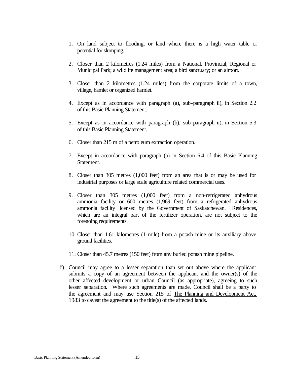- 1. On land subject to flooding, or land where there is a high water table or potential for slumping.
- 2. Closer than 2 kilometres (1.24 miles) from a National, Provincial, Regional or Municipal Park; a wildlife management area; a bird sanctuary; or an airport.
- 3. Closer than 2 kilometres (1.24 miles) from the corporate limits of a town, village, hamlet or organized hamlet.
- 4. Except as in accordance with paragraph (a), sub-paragraph ii), in Section 2.2 of this Basic Planning Statement.
- 5. Except as in accordance with paragraph (b), sub-paragraph ii), in Section 5.3 of this Basic Planning Statement.
- 6. Closer than 215 m of a petroleum extraction operation.
- 7. Except in accordance with paragraph (a) in Section 6.4 of this Basic Planning Statement.
- 8. Closer than 305 metres (1,000 feet) from an area that is or may be used for industrial purposes or large scale agriculture related commercial uses.
- 9. Closer than 305 metres (1,000 feet) from a non-refrigerated anhydrous ammonia facility or 600 metres (1,969 feet) from a refrigerated anhydrous ammonia facility licensed by the Government of Saskatchewan. Residences, which are an integral part of the fertilizer operation, are not subject to the foregoing requirements.
- 10. Closer than 1.61 kilometres (1 mile) from a potash mine or its auxiliary above ground facilities.
- 11. Closer than 45.7 metres (150 feet) from any buried potash mine pipeline.
- ii) Council may agree to a lesser separation than set out above where the applicant submits a copy of an agreement between the applicant and the owner(s) of the other affected development or urban Council (as appropriate), agreeing to such lesser separation. Where such agreements are made, Council shall be a party to the agreement and may use Section 215 of The Planning and Development Act, 1983 to caveat the agreement to the title(s) of the affected lands.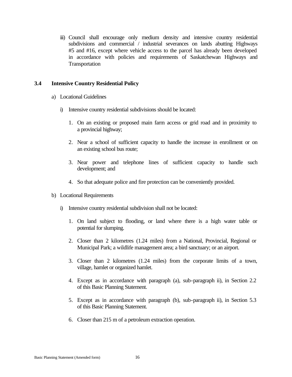iii) Council shall encourage only medium density and intensive country residential subdivisions and commercial / industrial severances on lands abutting Highways #5 and #16, except where vehicle access to the parcel has already been developed in accordance with policies and requirements of Saskatchewan Highways and Transportation

# **3.4 Intensive Country Residential Policy**

- a) Locational Guidelines
	- i) Intensive country residential subdivisions should be located:
		- 1. On an existing or proposed main farm access or grid road and in proximity to a provincial highway;
		- 2. Near a school of sufficient capacity to handle the increase in enrollment or on an existing school bus route;
		- 3. Near power and telephone lines of sufficient capacity to handle such development; and
		- 4. So that adequate police and fire protection can be conveniently provided.
- b) Locational Requirements
	- i) Intensive country residential subdivision shall not be located:
		- 1. On land subject to flooding, or land where there is a high water table or potential for slumping.
		- 2. Closer than 2 kilometres (1.24 miles) from a National, Provincial, Regional or Municipal Park; a wildlife management area; a bird sanctuary; or an airport.
		- 3. Closer than 2 kilometres (1.24 miles) from the corporate limits of a town, village, hamlet or organized hamlet.
		- 4. Except as in accordance with paragraph (a), sub-paragraph ii), in Section 2.2 of this Basic Planning Statement.
		- 5. Except as in accordance with paragraph (b), sub-paragraph ii), in Section 5.3 of this Basic Planning Statement.
		- 6. Closer than 215 m of a petroleum extraction operation.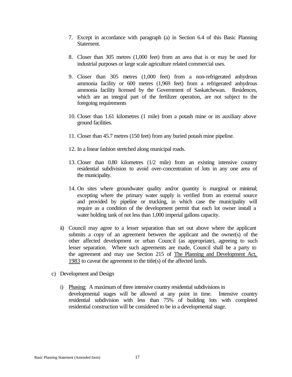- 7. Except in accordance with paragraph (a) in Section 6.4 of this Basic Planning Statement.
- 8. Closer than 305 metres (1,000 feet) from an area that is or may be used for industrial purposes or large scale agriculture related commercial uses.
- 9. Closer than 305 metres (1,000 feet) from a non-refrigerated anhydrous ammonia facility or 600 metres (1,969 feet) from a refrigerated anhydrous ammonia facility licensed by the Government of Saskatchewan. Residences, which are an integral part of the fertilizer operation, are not subject to the foregoing requirements
- 10. Closer than 1.61 kilometres (1 mile) from a potash mine or its auxiliary above ground facilities.
- 11. Closer than 45.7 metres (150 feet) from any buried potash mine pipeline.
- 12. In a linear fashion stretched along municipal roads.
- 13. Closer than 0.80 kilometres (1/2 mile) from an existing intensive country residential subdivision to avoid over-concentration of lots in any one area of the municipality.
- 14. On sites where groundwater quality and/or quantity is marginal or minimal; excepting where the primary water supply is verified from an external source and provided by pipeline or trucking, in which case the municipality will require as a condition of the development permit that each lot owner install a water holding tank of not less than 1,000 imperial gallons capacity.
- ii) Council may agree to a lesser separation than set out above where the applicant submits a copy of an agreement between the applicant and the owner(s) of the other affected development or urban Council (as appropriate), agreeing to such lesser separation. Where such agreements are made, Council shall be a party to the agreement and may use Section 215 of The Planning and Development Act, 1983 to caveat the agreement to the title(s) of the affected lands.
- c) Development and Design
	- i) Phasing: A maximum of three intensive country residential subdivisions in developmental stages will be allowed at any point in time. Intensive country residential subdivision with less than 75% of building lots with completed residential construction will be considered to be in a developmental stage.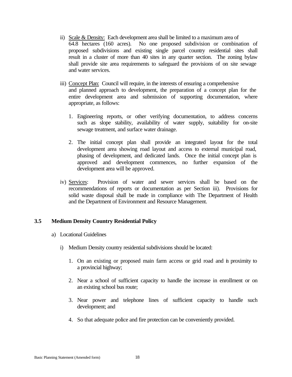- ii) Scale & Density: Each development area shall be limited to a maximum area of 64.8 hectares (160 acres). No one proposed subdivision or combination of proposed subdivisions and existing single parcel country residential sites shall result in a cluster of more than 40 sites in any quarter section. The zoning bylaw shall provide site area requirements to safeguard the provisions of on site sewage and water services.
- iii) Concept Plan: Council will require, in the interests of ensuring a comprehensive and planned approach to development, the preparation of a concept plan for the entire development area and submission of supporting documentation, where appropriate, as follows:
	- 1. Engineering reports, or other verifying documentation, to address concerns such as slope stability, availability of water supply, suitability for on-site sewage treatment, and surface water drainage.
	- 2. The initial concept plan shall provide an integrated layout for the total development area showing road layout and access to external municipal road, phasing of development, and dedicated lands. Once the initial concept plan is approved and development commences, no further expansion of the development area will be approved.
- iv) Services: Provision of water and sewer services shall be based on the recommendations of reports or documentation as per Section iii). Provisions for solid waste disposal shall be made in compliance with The Department of Health and the Department of Environment and Resource Management.

# **3.5 Medium Density Country Residential Policy**

- a) Locational Guidelines
	- i) Medium Density country residential subdivisions should be located:
		- 1. On an existing or proposed main farm access or grid road and in proximity to a provincial highway;
		- 2. Near a school of sufficient capacity to handle the increase in enrollment or on an existing school bus route;
		- 3. Near power and telephone lines of sufficient capacity to handle such development; and
		- 4. So that adequate police and fire protection can be conveniently provided.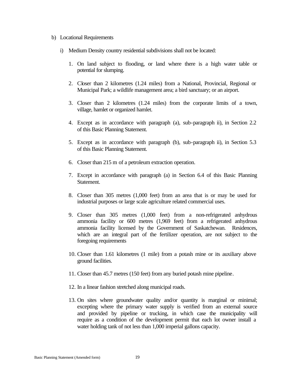#### b) Locational Requirements

- i) Medium Density country residential subdivisions shall not be located:
	- 1. On land subject to flooding, or land where there is a high water table or potential for slumping.
	- 2. Closer than 2 kilometres (1.24 miles) from a National, Provincial, Regional or Municipal Park; a wildlife management area; a bird sanctuary; or an airport.
	- 3. Closer than 2 kilometres (1.24 miles) from the corporate limits of a town, village, hamlet or organized hamlet.
	- 4. Except as in accordance with paragraph (a), sub-paragraph ii), in Section 2.2 of this Basic Planning Statement.
	- 5. Except as in accordance with paragraph (b), sub-paragraph ii), in Section 5.3 of this Basic Planning Statement.
	- 6. Closer than 215 m of a petroleum extraction operation.
	- 7. Except in accordance with paragraph (a) in Section 6.4 of this Basic Planning Statement.
	- 8. Closer than 305 metres (1,000 feet) from an area that is or may be used for industrial purposes or large scale agriculture related commercial uses.
	- 9. Closer than 305 metres (1,000 feet) from a non-refrigerated anhydrous ammonia facility or 600 metres (1,969 feet) from a refrigerated anhydrous ammonia facility licensed by the Government of Saskatchewan. Residences, which are an integral part of the fertilizer operation, are not subject to the foregoing requirements
	- 10. Closer than 1.61 kilometres (1 mile) from a potash mine or its auxiliary above ground facilities.
	- 11. Closer than 45.7 metres (150 feet) from any buried potash mine pipeline.
	- 12. In a linear fashion stretched along municipal roads.
	- 13. On sites where groundwater quality and/or quantity is marginal or minimal; excepting where the primary water supply is verified from an external source and provided by pipeline or trucking, in which case the municipality will require as a condition of the development permit that each lot owner install a water holding tank of not less than 1,000 imperial gallons capacity.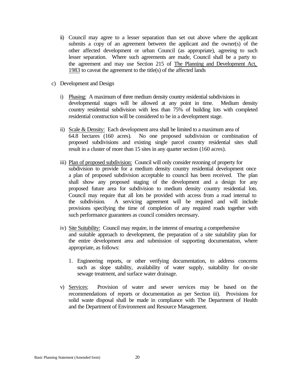- ii) Council may agree to a lesser separation than set out above where the applicant submits a copy of an agreement between the applicant and the owner(s) of the other affected development or urban Council (as appropriate), agreeing to such lesser separation. Where such agreements are made, Council shall be a party to the agreement and may use Section 215 of The Planning and Development Act, 1983 to caveat the agreement to the title(s) of the affected lands
- c) Development and Design
	- i) Phasing: A maximum of three medium density country residential subdivisions in developmental stages will be allowed at any point in time. Medium density country residential subdivision with less than 75% of building lots with completed residential construction will be considered to be in a development stage.
	- ii) Scale & Density: Each development area shall be limited to a maximum area of 64.8 hectares (160 acres). No one proposed subdivision or combination of proposed subdivisions and existing single parcel country residential sites shall result in a cluster of more than 15 sites in any quarter section (160 acres).
	- iii) Plan of proposed subdivision: Council will only consider rezoning of property for subdivision to provide for a medium density country residential development once a plan of proposed subdivision acceptable to council has been received. The plan shall show any proposed staging of the development and a design for any proposed future area for subdivision to medium density country residential lots. Council may require that all lots be provided with access from a road internal to the subdivision. A servicing agreement will be required and will include provisions specifying the time of completion of any required roads together with such performance guarantees as council considers necessary.
	- iv) Site Suitability: Council may require, in the interest of ensuring a comprehensive and suitable approach to development, the preparation of a site suitability plan for the entire development area and submission of supporting documentation, where appropriate, as follows:
		- 1. Engineering reports, or other verifying documentation, to address concerns such as slope stability, availability of water supply, suitability for on-site sewage treatment, and surface water drainage.
	- v) Services: Provision of water and sewer services may be based on the recommendations of reports or documentation as per Section iii). Provisions for solid waste disposal shall be made in compliance with The Department of Health and the Department of Environment and Resource Management.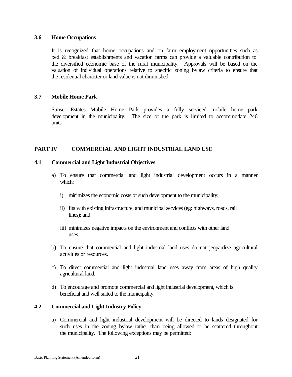#### **3.6 Home Occupations**

It is recognized that home occupations and on farm employment opportunities such as bed & breakfast establishments and vacation farms can provide a valuable contribution to the diversified economic base of the rural municipality. Approvals will be based on the valuation of individual operations relative to specific zoning bylaw criteria to ensure that the residential character or land value is not diminished.

# **3.7 Mobile Home Park**

Sunset Estates Mobile Home Park provides a fully serviced mobile home park development in the municipality. The size of the park is limited to accommodate 246 units.

# **PART IV COMMERCIAL AND LIGHT INDUSTRIAL LAND USE**

# **4.1 Commercial and Light Industrial Objectives**

- a) To ensure that commercial and light industrial development occurs in a manner which:
	- i) minimizes the economic costs of such development to the municipality;
	- ii) fits with existing infrastructure, and municipal services (eg: highways, roads, rail lines); and
	- iii) minimizes negative impacts on the environment and conflicts with other land uses.
- b) To ensure that commercial and light industrial land uses do not jeopardize agricultural activities or resources.
- c) To direct commercial and light industrial land uses away from areas of high quality agricultural land.
- d) To encourage and promote commercial and light industrial development, which is beneficial and well suited to the municipality.

# **4.2 Commercial and Light Industry Policy**

a) Commercial and light industrial development will be directed to lands designated for such uses in the zoning bylaw rather than being allowed to be scattered throughout the municipality. The following exceptions may be permitted: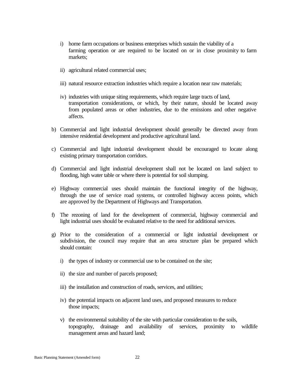- i) home farm occupations or business enterprises which sustain the viability of a farming operation or are required to be located on or in close proximity to farm markets;
- ii) agricultural related commercial uses;
- iii) natural resource extraction industries which require a location near raw materials;
- iv) industries with unique siting requirements, which require large tracts of land, transportation considerations, or which, by their nature, should be located away from populated areas or other industries, due to the emissions and other negative affects.
- b) Commercial and light industrial development should generally be directed away from intensive residential development and productive agricultural land.
- c) Commercial and light industrial development should be encouraged to locate along existing primary transportation corridors.
- d) Commercial and light industrial development shall not be located on land subject to flooding, high water table or where there is potential for soil slumping.
- e) Highway commercial uses should maintain the functional integrity of the highway, through the use of service road systems, or controlled highway access points, which are approved by the Department of Highways and Transportation.
- f) The rezoning of land for the development of commercial, highway commercial and light industrial uses should be evaluated relative to the need for additional services.
- g) Prior to the consideration of a commercial or light industrial development or subdivision, the council may require that an area structure plan be prepared which should contain:
	- i) the types of industry or commercial use to be contained on the site;
	- ii) the size and number of parcels proposed;
	- iii) the installation and construction of roads, services, and utilities;
	- iv) the potential impacts on adjacent land uses, and proposed measures to reduce those impacts;
	- v) the environmental suitability of the site with particular consideration to the soils, topography, drainage and availability of services, proximity to wildlife management areas and hazard land;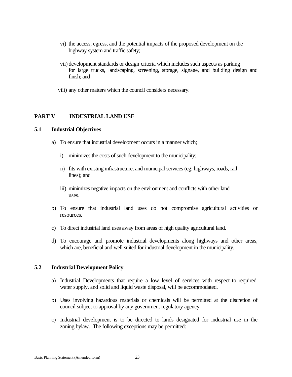- vi) the access, egress, and the potential impacts of the proposed development on the highway system and traffic safety;
- vii) development standards or design criteria which includes such aspects as parking for large trucks, landscaping, screening, storage, signage, and building design and finish; and
- viii) any other matters which the council considers necessary.

### **PART V INDUSTRIAL LAND USE**

#### **5.1 Industrial Objectives**

- a) To ensure that industrial development occurs in a manner which;
	- i) minimizes the costs of such development to the municipality;
	- ii) fits with existing infrastructure, and municipal services (eg: highways, roads, rail lines); and
	- iii) minimizes negative impacts on the environment and conflicts with other land uses.
- b) To ensure that industrial land uses do not compromise agricultural activities or resources.
- c) To direct industrial land uses away from areas of high quality agricultural land.
- d) To encourage and promote industrial developments along highways and other areas, which are, beneficial and well suited for industrial development in the municipality.

#### **5.2 Industrial Development Policy**

- a) Industrial Developments that require a low level of services with respect to required water supply, and solid and liquid waste disposal, will be accommodated.
- b) Uses involving hazardous materials or chemicals will be permitted at the discretion of council subject to approval by any government regulatory agency.
- c) Industrial development is to be directed to lands designated for industrial use in the zoning bylaw. The following exceptions may be permitted: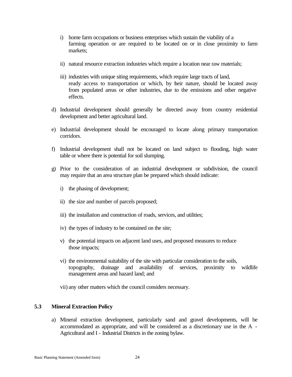- i) home farm occupations or business enterprises which sustain the viability of a farming operation or are required to be located on or in close proximity to farm markets;
- ii) natural resource extraction industries which require a location near raw materials;
- iii) industries with unique siting requirements, which require large tracts of land, ready access to transportation or which, by their nature, should be located away from populated areas or other industries, due to the emissions and other negative effects.
- d) Industrial development should generally be directed away from country residential development and better agricultural land.
- e) Industrial development should be encouraged to locate along primary transportation corridors.
- f) Industrial development shall not be located on land subject to flooding, high water table or where there is potential for soil slumping.
- g) Prior to the consideration of an industrial development or subdivision, the council may require that an area structure plan be prepared which should indicate:
	- i) the phasing of development;
	- ii) the size and number of parcels proposed;
	- iii) the installation and construction of roads, services, and utilities;
	- iv) the types of industry to be contained on the site;
	- v) the potential impacts on adjacent land uses, and proposed measures to reduce those impacts;
	- vi) the environmental suitability of the site with particular consideration to the soils, topography, drainage and availability of services, proximity to wildlife management areas and hazard land; and

vii) any other matters which the council considers necessary.

# **5.3 Mineral Extraction Policy**

a) Mineral extraction development, particularly sand and gravel developments, will be accommodated as appropriate, and will be considered as a discretionary use in the A - Agricultural and I - Industrial Districts in the zoning bylaw.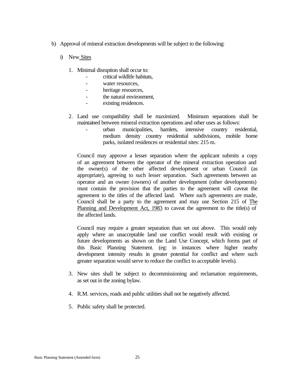- b) Approval of mineral extraction developments will be subject to the following:
	- i) New Sites
		- 1. Minimal disruption shall occur to:
			- critical wildlife habitats,
			- water resources,
			- heritage resources,
			- the natural environment.
			- existing residences.
		- 2. Land use compatibility shall be maximized. Minimum separations shall be maintained between mineral extraction operations and other uses as follows:
			- urban municipalities, hamlets, intensive country residential, medium density country residential subdivisions, mobile home parks, isolated residences or residential sites: 215 m.

Council may approve a lesser separation where the applicant submits a copy of an agreement between the operator of the mineral extraction operation and the owner(s) of the other affected development or urban Council (as appropriate), agreeing to such lesser separation. Such agreements between an operator and an owner (owners) of another development (other developments) must contain the provision that the parties to the agreement will caveat the agreement to the titles of the affected land. Where such agreements are made, Council shall be a party to the agreement and may use Section 215 of The Planning and Development Act, 1983 to caveat the agreement to the title(s) of the affected lands.

Council may require a greater separation than set out above. This would only apply where an unacceptable land use conflict would result with existing or future developments as shown on the Land Use Concept, which forms part of this Basic Planning Statement. (eg: in instances where higher nearby development intensity results in greater potential for conflict and where such greater separation would serve to reduce the conflict to acceptable levels).

- 3. New sites shall be subject to decommissioning and reclamation requirements, as set out in the zoning bylaw.
- 4. R.M. services, roads and public utilities shall not be negatively affected.
- 5. Public safety shall be protected.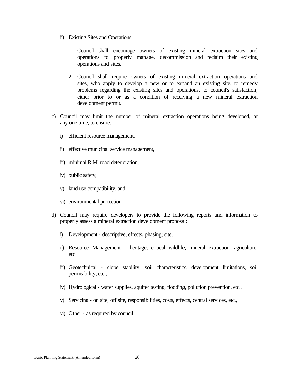- ii) Existing Sites and Operations
	- 1. Council shall encourage owners of existing mineral extraction sites and operations to properly manage, decommission and reclaim their existing operations and sites.
	- 2. Council shall require owners of existing mineral extraction operations and sites, who apply to develop a new or to expand an existing site, to remedy problems regarding the existing sites and operations, to council's satisfaction, either prior to or as a condition of receiving a new mineral extraction development permit.
- c) Council may limit the number of mineral extraction operations being developed, at any one time, to ensure:
	- i) efficient resource management,
	- ii) effective municipal service management,
	- iii) minimal R.M. road deterioration.
	- iv) public safety,
	- v) land use compatibility, and
	- vi) environmental protection.
- d) Council may require developers to provide the following reports and information to properly assess a mineral extraction development proposal:
	- i) Development descriptive, effects, phasing; site,
	- ii) Resource Management heritage, critical wildlife, mineral extraction, agriculture, etc.
	- iii) Geotechnical slope stability, soil characteristics, development limitations, soil permeability, etc.,
	- iv) Hydrological water supplies, aquifer testing, flooding, pollution prevention, etc.,
	- v) Servicing on site, off site, responsibilities, costs, effects, central services, etc.,
	- vi) Other as required by council.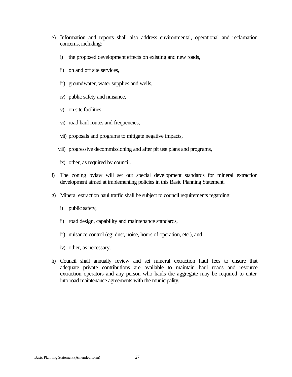- e) Information and reports shall also address environmental, operational and reclamation concerns, including:
	- i) the proposed development effects on existing and new roads,
	- ii) on and off site services,
	- iii) groundwater, water supplies and wells,
	- iv) public safety and nuisance,
	- v) on site facilities,
	- vi) road haul routes and frequencies,
	- vii) proposals and programs to mitigate negative impacts,
	- viii) progressive decommissioning and after pit use plans and programs,
	- ix) other, as required by council.
- f) The zoning bylaw will set out special development standards for mineral extraction development aimed at implementing policies in this Basic Planning Statement.
- g) Mineral extraction haul traffic shall be subject to council requirements regarding:
	- i) public safety,
	- ii) road design, capability and maintenance standards,
	- iii) nuisance control (eg: dust, noise, hours of operation, etc.), and
	- iv) other, as necessary.
- h) Council shall annually review and set mineral extraction haul fees to ensure that adequate private contributions are available to maintain haul roads and resource extraction operators and any person who hauls the aggregate may be required to enter into road maintenance agreements with the municipality.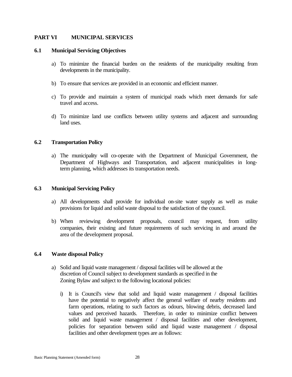# **PART VI MUNICIPAL SERVICES**

#### **6.1 Municipal Servicing Objectives**

- a) To minimize the financial burden on the residents of the municipality resulting from developments in the municipality.
- b) To ensure that services are provided in an economic and efficient manner.
- c) To provide and maintain a system of municipal roads which meet demands for safe travel and access.
- d) To minimize land use conflicts between utility systems and adjacent and surrounding land uses.

### **6.2 Transportation Policy**

a) The municipality will co-operate with the Department of Municipal Government, the Department of Highways and Transportation, and adjacent municipalities in longterm planning, which addresses its transportation needs.

# **6.3 Municipal Servicing Policy**

- a) All developments shall provide for individual on-site water supply as well as make provisions for liquid and solid waste disposal to the satisfaction of the council.
- b) When reviewing development proposals, council may request, from utility companies, their existing and future requirements of such servicing in and around the area of the development proposal.

# **6.4 Waste disposal Policy**

- a) Solid and liquid waste management / disposal facilities will be allowed at the discretion of Council subject to development standards as specified in the Zoning Bylaw and subject to the following locational policies:
	- i) It is Council's view that solid and liquid waste management / disposal facilities have the potential to negatively affect the general welfare of nearby residents and farm operations, relating to such factors as odours, blowing debris, decreased land values and perceived hazards. Therefore, in order to minimize conflict between solid and liquid waste management / disposal facilities and other development, policies for separation between solid and liquid waste management / disposal facilities and other development types are as follows: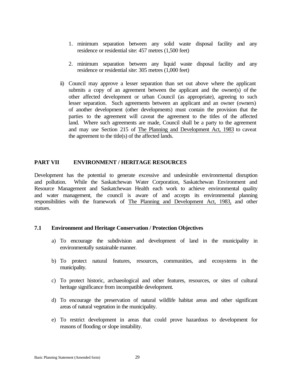- 1. minimum separation between any solid waste disposal facility and any residence or residential site: 457 metres (1,500 feet)
- 2. minimum separation between any liquid waste disposal facility and any residence or residential site: 305 metres (1,000 feet)
- ii) Council may approve a lesser separation than set out above where the applicant submits a copy of an agreement between the applicant and the owner(s) of the other affected development or urban Council (as appropriate), agreeing to such lesser separation. Such agreements between an applicant and an owner (owners) of another development (other developments) must contain the provision that the parties to the agreement will caveat the agreement to the titles of the affected land. Where such agreements are made, Council shall be a party to the agreement and may use Section 215 of The Planning and Development Act, 1983 to caveat the agreement to the title(s) of the affected lands.

# **PART VII ENVIRONMENT / HERITAGE RESOURCES**

Development has the potential to generate excessive and undesirable environmental disruption and pollution. While the Saskatchewan Water Corporation, Saskatchewan Environment and Resource Management and Saskatchewan Health each work to achieve environmental quality and water management, the council is aware of and accepts its environmental planning responsibilities with the framework of The Planning and Development Act, 1983, and other statues.

# **7.1 Environment and Heritage Conservation / Protection Objectives**

- a) To encourage the subdivision and development of land in the municipality in environmentally sustainable manner.
- b) To protect natural features, resources, communities, and ecosystems in the municipality.
- c) To protect historic, archaeological and other features, resources, or sites of cultural heritage significance from incompatible development.
- d) To encourage the preservation of natural wildlife habitat areas and other significant areas of natural vegetation in the municipality.
- e) To restrict development in areas that could prove hazardous to development for reasons of flooding or slope instability.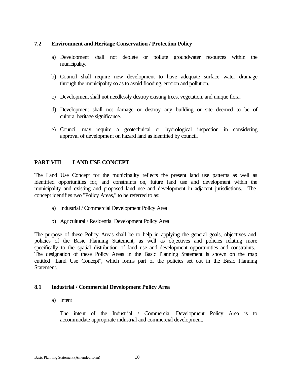# **7.2 Environment and Heritage Conservation / Protection Policy**

- a) Development shall not deplete or pollute groundwater resources within the municipality.
- b) Council shall require new development to have adequate surface water drainage through the municipality so as to avoid flooding, erosion and pollution.
- c) Development shall not needlessly destroy existing trees, vegetation, and unique flora.
- d) Development shall not damage or destroy any building or site deemed to be of cultural heritage significance.
- e) Council may require a geotechnical or hydrological inspection in considering approval of development on hazard land as identified by council.

# **PART VIII LAND USE CONCEPT**

The Land Use Concept for the municipality reflects the present land use patterns as well as identified opportunities for, and constraints on, future land use and development within the municipality and existing and proposed land use and development in adjacent jurisdictions. The concept identifies two "Policy Areas," to be referred to as:

- a) Industrial / Commercial Development Policy Area
- b) Agricultural / Residential Development Policy Area

The purpose of these Policy Areas shall be to help in applying the general goals, objectives and policies of the Basic Planning Statement, as well as objectives and policies relating more specifically to the spatial distribution of land use and development opportunities and constraints. The designation of these Policy Areas in the Basic Planning Statement is shown on the map entitled "Land Use Concept", which forms part of the policies set out in the Basic Planning Statement.

# **8.1 Industrial / Commercial Development Policy Area**

a) Intent

The intent of the Industrial / Commercial Development Policy Area is to accommodate appropriate industrial and commercial development.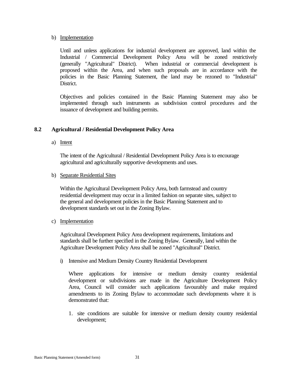#### b) Implementation

Until and unless applications for industrial development are approved, land within the Industrial / Commercial Development Policy Area will be zoned restrictively (generally "Agricultural" District). When industrial or commercial development is proposed within the Area, and when such proposals are in accordance with the policies in the Basic Planning Statement, the land may be rezoned to "Industrial" District.

Objectives and policies contained in the Basic Planning Statement may also be implemented through such instruments as subdivision control procedures and the issuance of development and building permits.

# **8.2 Agricultural / Residential Development Policy Area**

a) Intent

The intent of the Agricultural / Residential Development Policy Area is to encourage agricultural and agriculturally supportive developments and uses.

b) Separate Residential Sites

Within the Agricultural Development Policy Area, both farmstead and country residential development may occur in a limited fashion on separate sites, subject to the general and development policies in the Basic Planning Statement and to development standards set out in the Zoning Bylaw.

c) Implementation

Agricultural Development Policy Area development requirements, limitations and standards shall be further specified in the Zoning Bylaw. Generally, land within the Agriculture Development Policy Area shall be zoned "Agricultural" District.

i) Intensive and Medium Density Country Residential Development

Where applications for intensive or medium density country residential development or subdivisions are made in the Agriculture Development Policy Area, Council will consider such applications favourably and make required amendments to its Zoning Bylaw to accommodate such developments where it is demonstrated that:

1. site conditions are suitable for intensive or medium density country residential development;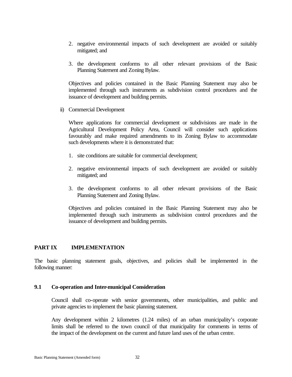- 2. negative environmental impacts of such development are avoided or suitably mitigated; and
- 3. the development conforms to all other relevant provisions of the Basic Planning Statement and Zoning Bylaw.

Objectives and policies contained in the Basic Planning Statement may also be implemented through such instruments as subdivision control procedures and the issuance of development and building permits.

ii) Commercial Development

Where applications for commercial development or subdivisions are made in the Agricultural Development Policy Area, Council will consider such applications favourably and make required amendments to its Zoning Bylaw to accommodate such developments where it is demonstrated that:

- 1. site conditions are suitable for commercial development;
- 2. negative environmental impacts of such development are avoided or suitably mitigated; and
- 3. the development conforms to all other relevant provisions of the Basic Planning Statement and Zoning Bylaw.

Objectives and policies contained in the Basic Planning Statement may also be implemented through such instruments as subdivision control procedures and the issuance of development and building permits.

# **PART IX IMPLEMENTATION**

The basic planning statement goals, objectives, and policies shall be implemented in the following manner:

# **9.1 Co-operation and Inter-municipal Consideration**

Council shall co-operate with senior governments, other municipalities, and public and private agencies to implement the basic planning statement.

Any development within 2 kilometres (1.24 miles) of an urban municipality's corporate limits shall be referred to the town council of that municipality for comments in terms of the impact of the development on the current and future land uses of the urban centre.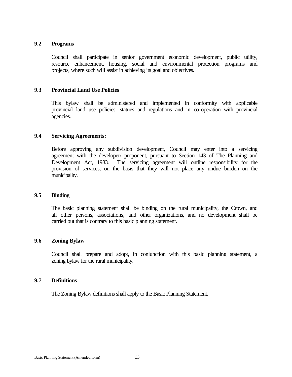## **9.2 Programs**

Council shall participate in senior government economic development, public utility, resource enhancement, housing, social and environmental protection programs and projects, where such will assist in achieving its goal and objectives.

# **9.3 Provincial Land Use Policies**

This bylaw shall be administered and implemented in conformity with applicable provincial land use policies, statues and regulations and in co-operation with provincial agencies.

### **9.4 Servicing Agreements:**

Before approving any subdivision development, Council may enter into a servicing agreement with the developer/ proponent, pursuant to Section 143 of The Planning and Development Act, 1983. The servicing agreement will outline responsibility for the provision of services, on the basis that they will not place any undue burden on the municipality.

#### **9.5 Binding**

The basic planning statement shall be binding on the rural municipality, the Crown, and all other persons, associations, and other organizations, and no development shall be carried out that is contrary to this basic planning statement.

# **9.6 Zoning Bylaw**

Council shall prepare and adopt, in conjunction with this basic planning statement, a zoning bylaw for the rural municipality.

### **9.7 Definitions**

The Zoning Bylaw definitions shall apply to the Basic Planning Statement.